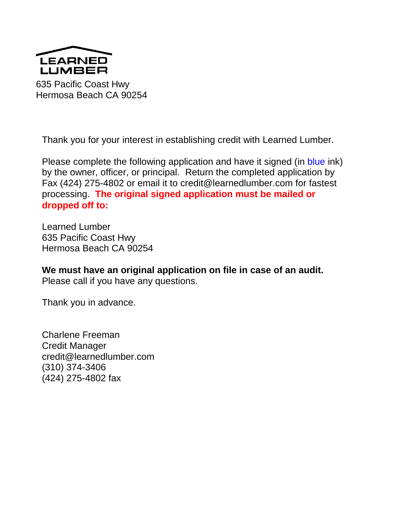

635 Pacific Coast Hwy Hermosa Beach CA 90254

Thank you for your interest in establishing credit with Learned Lumber.

Please complete the following application and have it signed (in blue ink) by the owner, officer, or principal. Return the completed application by Fax (424) 275-4802 or email it to credit@learnedlumber.com for fastest processing. **The original signed application must be mailed or dropped off to:**

Learned Lumber 635 Pacific Coast Hwy Hermosa Beach CA 90254

**We must have an original application on file in case of an audit.**  Please call if you have any questions.

Thank you in advance.

Charlene Freeman Credit Manager credit@learnedlumber.com (310) 374-3406 (424) 275-4802 fax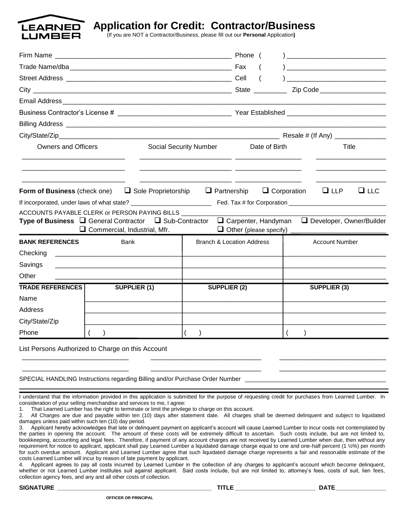

**Application for Credit: Contractor/Business**

(If you are NOT a Contractor/Business, please fill out our **Personal** Application**)**

|                                                              |                                                                                                                                                                                                                                                                                                                   |                                      | Phone (                |                                 |
|--------------------------------------------------------------|-------------------------------------------------------------------------------------------------------------------------------------------------------------------------------------------------------------------------------------------------------------------------------------------------------------------|--------------------------------------|------------------------|---------------------------------|
|                                                              |                                                                                                                                                                                                                                                                                                                   |                                      |                        |                                 |
|                                                              |                                                                                                                                                                                                                                                                                                                   |                                      |                        |                                 |
|                                                              |                                                                                                                                                                                                                                                                                                                   |                                      |                        | Zip Code ______________________ |
|                                                              |                                                                                                                                                                                                                                                                                                                   |                                      |                        |                                 |
|                                                              |                                                                                                                                                                                                                                                                                                                   |                                      |                        |                                 |
|                                                              |                                                                                                                                                                                                                                                                                                                   |                                      |                        |                                 |
|                                                              |                                                                                                                                                                                                                                                                                                                   |                                      |                        |                                 |
| <b>Owners and Officers</b>                                   |                                                                                                                                                                                                                                                                                                                   | <b>Social Security Number</b>        | Date of Birth<br>Title |                                 |
|                                                              | <b>Form of Business</b> (check one) $\Box$ Sole Proprietorship $\Box$ Partnership $\Box$ Corporation<br>ACCOUNTS PAYABLE CLERK or PERSON PAYING BILLS _________<br>Type of Business □ General Contractor □ Sub-Contractor □ Carpenter, Handyman □ Developer, Owner/Builder<br>$\Box$ Commercial, Industrial, Mfr. |                                      |                        | $\Box$ LLC<br>$\sqcup$ LLP      |
| <b>BANK REFERENCES</b>                                       | <b>Bank</b>                                                                                                                                                                                                                                                                                                       | <b>Branch &amp; Location Address</b> |                        | <b>Account Number</b>           |
| Checking                                                     | <u> 1980 - Jan James James Barbara, martin da shekara 1980 - Ang Partid Barbara ay na san</u>                                                                                                                                                                                                                     |                                      |                        |                                 |
| Savings                                                      |                                                                                                                                                                                                                                                                                                                   |                                      |                        |                                 |
| Other                                                        |                                                                                                                                                                                                                                                                                                                   |                                      |                        |                                 |
| <b>TRADE REFERENCES</b><br>Name<br>Address<br>City/State/Zip | <b>SUPPLIER (1)</b>                                                                                                                                                                                                                                                                                               | <b>SUPPLIER (2)</b>                  |                        | <b>SUPPLIER (3)</b>             |
| Phone                                                        |                                                                                                                                                                                                                                                                                                                   | $\left($<br>$\rightarrow$            |                        |                                 |
|                                                              | List Persons Authorized to Charge on this Account<br>SPECIAL HANDLING Instructions regarding Billing and/or Purchase Order Number ____                                                                                                                                                                            |                                      |                        |                                 |

I understand that the information provided in this application is submitted for the purpose of requesting credit for purchases from Learned Lumber. In consideration of your selling merchandise and services to me, I agree:

1. That Learned Lumber has the right to terminate or limit the privilege to charge on this account.

2. All Charges are due and payable within ten (10) days after statement date. All charges shall be deemed delinquent and subject to liquidated damages unless paid within such ten (10) day period.

| 3. Applicant hereby acknowledges that late or delinguent payment on applicant's account will cause Learned Lumber to incur costs not contemplated by    |
|---------------------------------------------------------------------------------------------------------------------------------------------------------|
| the parties in opening the account. The amount of these costs will be extremely difficult to ascertain. Such costs include, but are not limited to,     |
| bookkeeping, accounting and legal fees. Therefore, if payment of any account charges are not received by Learned Lumber when due, then without any      |
| requirement for notice to applicant, applicant shall pay Learned Lumber a liquidated damage charge equal to one and one-half percent (1 1/2%) per month |
| for such overdue amount. Applicant and Learned Lumber agree that such liquidated damage charge represents a fair and reasonable estimate of the         |
| costs Learned Lumber will incur by reason of late payment by applicant.                                                                                 |

4. Applicant agrees to pay all costs incurred by Learned Lumber in the collection of any charges to applicant's account which become delinquent, whether or not Learned Lumber institutes suit against applicant. Said costs include, but are not limited to, attorney's fees, costs of suit, lien fees, collection agency fees, and any and all other costs of collection.

**SIGNATURE \_\_\_\_\_\_\_\_\_\_\_\_\_\_\_\_\_\_\_\_\_\_\_\_\_\_\_\_\_\_\_\_\_\_\_\_\_\_\_\_\_\_\_\_\_\_ TITLE \_\_\_\_\_\_\_\_\_\_\_\_\_\_\_\_\_\_\_\_\_\_\_\_ DATE\_\_\_\_\_\_\_\_\_\_\_\_\_\_\_**